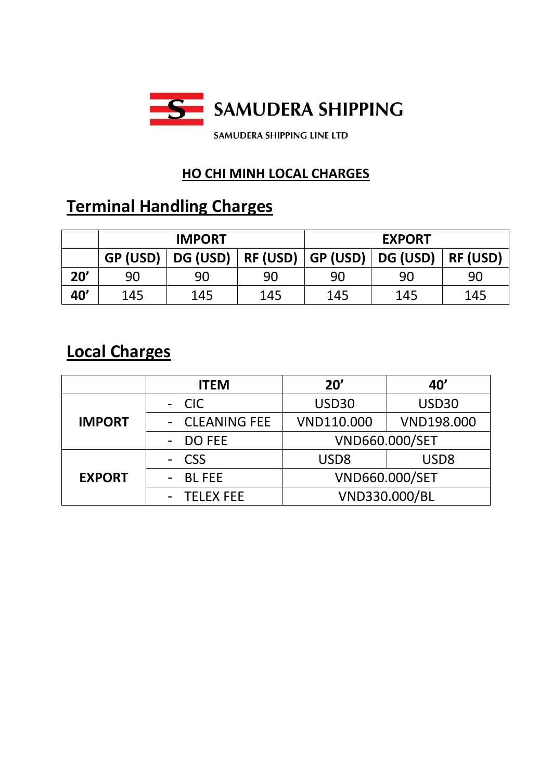

## **HO CHI MINH LOCAL CHARGES**

# **Terminal Handling Charges**

|     | <b>IMPORT</b> |          |          | <b>EXPORT</b> |          |                 |
|-----|---------------|----------|----------|---------------|----------|-----------------|
|     | GP (USD)      | DG (USD) | RF (USD) | GP (USD)      | DG (USD) | <b>RF (USD)</b> |
| 20' | 90            | 90       | 90       | 90            | 90       | 90              |
| 40' | 145           | 145      | 145      | 145           | 145      | 145             |

## **Local Charges**

|               | <b>ITEM</b>      | 20'              | 40'               |
|---------------|------------------|------------------|-------------------|
|               | - CIC            | USD30            | USD30             |
| <b>IMPORT</b> | - CLEANING FEE   | VND110.000       | <b>VND198.000</b> |
|               | - DO FEE         | VND660.000/SET   |                   |
|               | - CSS            | USD <sub>8</sub> | USD <sub>8</sub>  |
| <b>EXPORT</b> | - BLFEE          | VND660.000/SET   |                   |
|               | <b>TELEX FEE</b> |                  | VND330.000/BL     |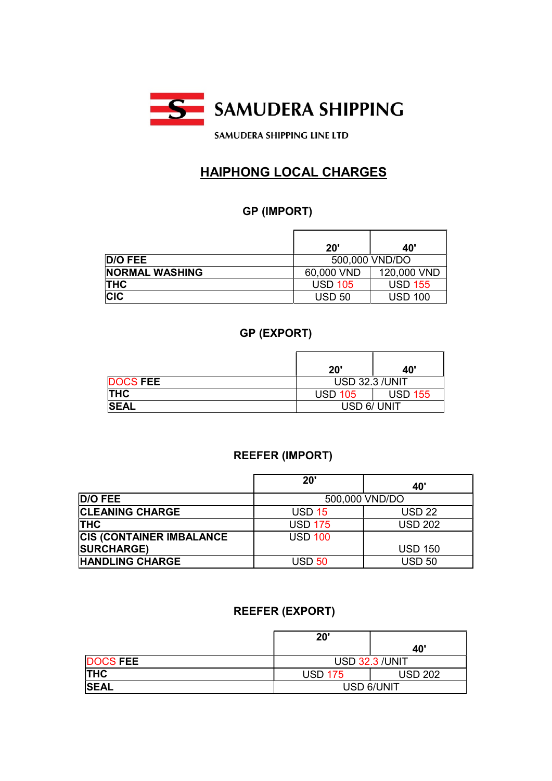

**SAMUDERA SHIPPING LINE LTD** 

## HAIPHONG LOCAL CHARGES

#### GP (IMPORT)

|                       | 20'                              | 40'            |  |
|-----------------------|----------------------------------|----------------|--|
| D/O FEE               | 500,000 VND/DO                   |                |  |
| <b>NORMAL WASHING</b> | 120,000 VND<br>60,000 VND        |                |  |
| <b>THC</b>            | <b>USD 105</b><br><b>USD 155</b> |                |  |
| <b>CIC</b>            | <b>USD 50</b>                    | <b>USD 100</b> |  |

#### GP (EXPORT)

|                 | 20'                              | 40' |
|-----------------|----------------------------------|-----|
| <b>DOCS FEE</b> | <b>USD 32.3 /UNIT</b>            |     |
| <b>THC</b>      | <b>USD 155</b><br><b>USD 105</b> |     |
| <b>SEAL</b>     | USD 6/ UNIT                      |     |

#### REEFER (IMPORT)

|                                  | 20'            | 40             |
|----------------------------------|----------------|----------------|
| <b>D/O FEE</b>                   | 500,000 VND/DO |                |
| <b>CLEANING CHARGE</b>           | <b>USD 15</b>  | <b>USD 22</b>  |
| <b>THC</b>                       | <b>USD 175</b> | <b>USD 202</b> |
| <b>CIS (CONTAINER IMBALANCE)</b> | <b>USD 100</b> |                |
| <b>SURCHARGE)</b>                |                | <b>USD 150</b> |
| <b>HANDLING CHARGE</b>           | <b>USD 50</b>  | <b>USD 50</b>  |

#### REEFER (EXPORT)

|                 | 20'                              |     |
|-----------------|----------------------------------|-----|
|                 |                                  | 40' |
| <b>DOCS FEE</b> | <b>USD 32.3 /UNIT</b>            |     |
| <b>THC</b>      | <b>USD 202</b><br><b>USD 175</b> |     |
| <b>SEAL</b>     | USD 6/UNIT                       |     |